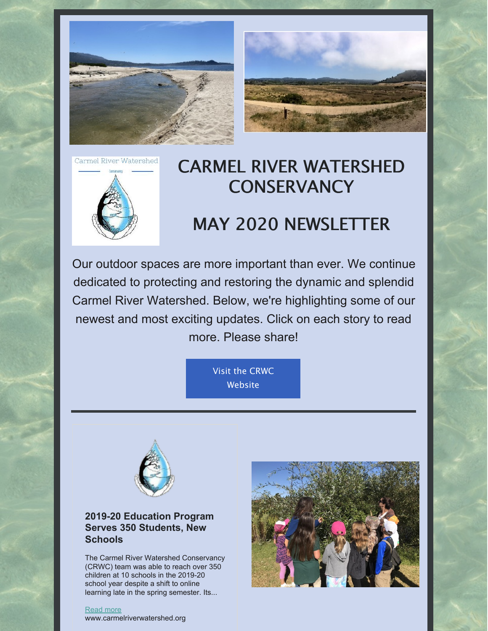



Carmel River Watershed



## CARMEL RIVER WATERSHED **CONSERVANCY**

# MAY 2020 NEWSLETTER

Our outdoor spaces are more important than ever. We continue dedicated to protecting and restoring the dynamic and splendid Carmel River Watershed. Below, we're highlighting some of our newest and most exciting updates. Click on each story to read more. Please share!

> Visit the CRWC **[Website](https://www.carmelriverwatershed.org/)**



## **2019-20 Education Program Serves 350 Students, New Schools**

The Carmel River Watershed Conservancy (CRWC) team was able to reach over 350 children at 10 schools in the 2019-20 school year despite a shift to online learning late in the spring semester. Its...



[Read](https://www.carmelriverwatershed.org/latest-news/2019-20-education-program-serves-350-students-new-schools) more

www.carmelriverwatershed.org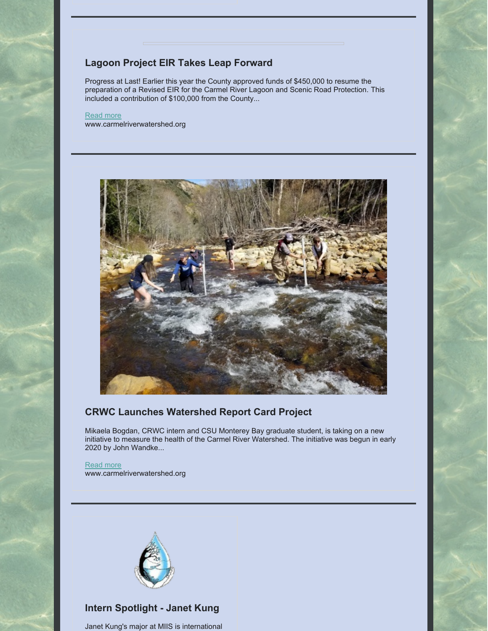## **Lagoon Project EIR Takes Leap Forward**

Progress at Last! Earlier this year the County approved funds of \$450,000 to resume the preparation of a Revised EIR for the Carmel River Lagoon and Scenic Road Protection. This included a contribution of \$100,000 from the County...

#### [Read](https://www.carmelriverwatershed.org/latest-news/lagoon-project-eir-takes-leap-forward) more www.carmelriverwatershed.org



### **CRWC Launches Watershed Report Card Project**

Mikaela Bogdan, CRWC intern and CSU Monterey Bay graduate student, is taking on a new initiative to measure the health of the Carmel River Watershed. The initiative was begun in early 2020 by John Wandke...

[Read](https://www.carmelriverwatershed.org/latest-news/crwc-launches-watershed-report-card-project) more www.carmelriverwatershed.org



## **Intern Spotlight - Janet Kung**

Janet Kung's major at MIIS is international